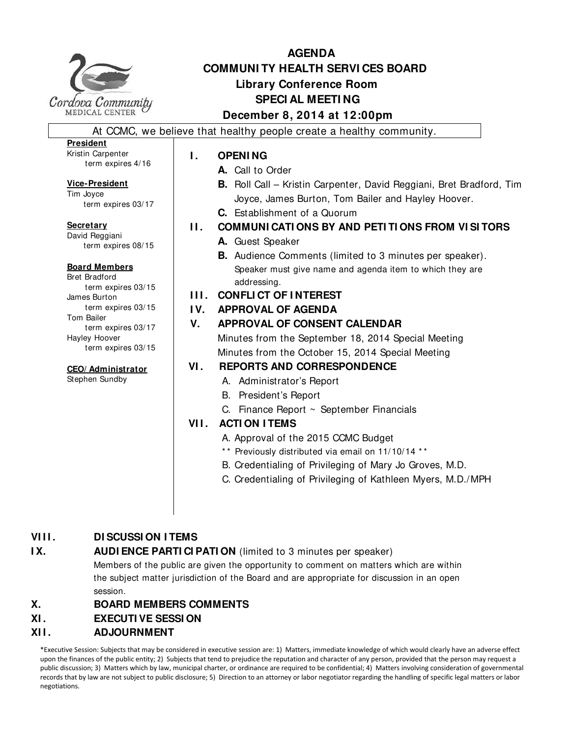

term expires 4/16

term expires 03/17

term expires 08/15

term expires 03/15

term expires 03/15

term expires 03/17

term expires 03/15

**CEO/ Administrator** Stephen Sundby

**President** Kristin Carpenter

**Secretary** David Reggiani

**Vice-President** Tim Joyce

**Board Members** Bret Bradford

James Burton

Hayley Hoover

Tom Bailer

# **AGENDA COMMUNI TY HEALTH SERVI CES BOARD Library Conference Room SPECI AL MEETI NG December 8, 2014 at 12:00pm** At CCMC, we believe that healthy people create a healthy community. **I. OPENING A.** Call to Order Joyce, James Burton, Tom Bailer and Hayley Hoover. **C.** Establishment of a Quorum **A.** Guest Speaker Speaker must give name and agenda item to which they are addressing. **I I I . CONFLI CT OF I NTEREST I V. APPROVAL OF AGENDA V. APPROVAL OF CONSENT CALENDAR**  Minutes from the September 18, 2014 Special Meeting Minutes from the October 15, 2014 Special Meeting **VI . REPORTS AND CORRESPONDENCE** A. Administrator's Report B. President's Report C. Finance Report ~ September Financials **VII. ACTION ITEMS** A. Approval of the 2015 CCMC Budget \*\* Previously distributed via email on 11/10/14 \*\* B. Credentialing of Privileging of Mary Jo Groves, M.D.

# **VIII. DI SCUSSI ON I TEMS**

# **IX.** AUDI ENCE PARTI CI PATI ON (limited to 3 minutes per speaker)

Members of the public are given the opportunity to comment on matters which are within the subject matter jurisdiction of the Board and are appropriate for discussion in an open session.

# **X. BOARD MEMBERS COMMENTS**

# **XI . EXECUTI VE SESSI ON**

# **XI I . ADJOURNMENT**

\*Executive Session: Subjects that may be considered in executive session are: 1) Matters, immediate knowledge of which would clearly have an adverse effect upon the finances of the public entity; 2) Subjects that tend to prejudice the reputation and character of any person, provided that the person may request a public discussion; 3) Matters which by law, municipal charter, or ordinance are required to be confidential; 4) Matters involving consideration of governmental records that by law are not subject to public disclosure; 5) Direction to an attorney or labor negotiator regarding the handling of specific legal matters or labor negotiations.

- **B.** Roll Call Kristin Carpenter, David Reggiani, Bret Bradford, Tim
- **I I . COMMUNI CATI ONS BY AND PETI TI ONS FROM VI SI TORS**
	- **B.** Audience Comments (limited to 3 minutes per speaker).

C. Credentialing of Privileging of Kathleen Myers, M.D./MPH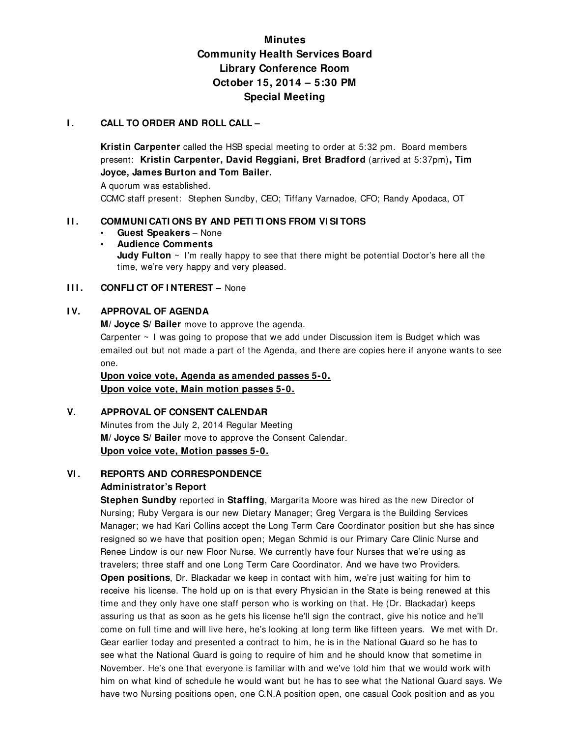# **Minutes Community Health Services Board Library Conference Room October 15, 2014 – 5:30 PM Special Meeting**

#### **I.** CALL TO ORDER AND ROLL CALL –

**Kristin Carpenter** called the HSB special meeting to order at 5:32 pm. Board members present: **Kristin Carpenter, David Reggiani, Bret Bradford** (arrived at 5:37pm)**, Tim Joyce, James Burton and Tom Bailer.** 

A quorum was established.

CCMC staff present: Stephen Sundby, CEO; Tiffany Varnadoe, CFO; Randy Apodaca, OT

#### **I I . COMMUNI CATI ONS BY AND PETI TI ONS FROM VI SI TORS**

- **Guest Speakers**  None
- **Audience Comments Judy Fulton** ~ I'm really happy to see that there might be potential Doctor's here all the time, we're very happy and very pleased.

#### **III. CONFLICT OF INTEREST - None**

#### **I V. APPROVAL OF AGENDA**

**M/ Joyce S/ Bailer** move to approve the agenda.

Carpenter  $\sim$  1 was going to propose that we add under Discussion item is Budget which was emailed out but not made a part of the Agenda, and there are copies here if anyone wants to see one.

**Upon voice vote, Agenda as amended passes 5-0. Upon voice vote, Main motion passes 5-0.**

## **V. APPROVAL OF CONSENT CALENDAR**

Minutes from the July 2, 2014 Regular Meeting **M/ Joyce S/ Bailer** move to approve the Consent Calendar. **Upon voice vote, Motion passes 5-0.**

# **VI . REPORTS AND CORRESPONDENCE**

## **Administrator's Report**

**Stephen Sundby** reported in **Staffing**, Margarita Moore was hired as the new Director of Nursing; Ruby Vergara is our new Dietary Manager; Greg Vergara is the Building Services Manager; we had Kari Collins accept the Long Term Care Coordinator position but she has since resigned so we have that position open; Megan Schmid is our Primary Care Clinic Nurse and Renee Lindow is our new Floor Nurse. We currently have four Nurses that we're using as travelers; three staff and one Long Term Care Coordinator. And we have two Providers. **Open positions**, Dr. Blackadar we keep in contact with him, we're just waiting for him to receive his license. The hold up on is that every Physician in the State is being renewed at this time and they only have one staff person who is working on that. He (Dr. Blackadar) keeps assuring us that as soon as he gets his license he'll sign the contract, give his notice and he'll come on full time and will live here, he's looking at long term like fifteen years. We met with Dr. Gear earlier today and presented a contract to him, he is in the National Guard so he has to see what the National Guard is going to require of him and he should know that sometime in November. He's one that everyone is familiar with and we've told him that we would work with him on what kind of schedule he would want but he has to see what the National Guard says. We have two Nursing positions open, one C.N.A position open, one casual Cook position and as you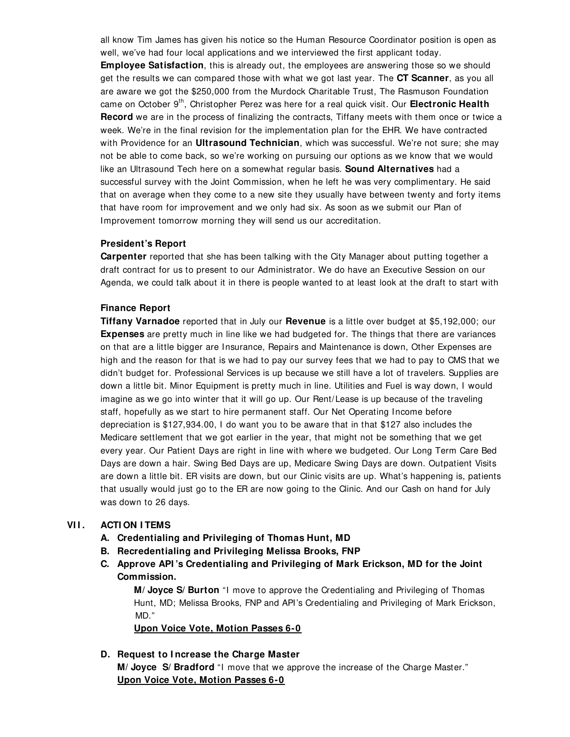all know Tim James has given his notice so the Human Resource Coordinator position is open as well, we've had four local applications and we interviewed the first applicant today. **Employee Satisfaction**, this is already out, the employees are answering those so we should get the results we can compared those with what we got last year. The **CT Scanner**, as you all are aware we got the \$250,000 from the Murdock Charitable Trust, The Rasmuson Foundation came on October 9th, Christopher Perez was here for a real quick visit. Our **Electronic Health Record** we are in the process of finalizing the contracts, Tiffany meets with them once or twice a week. We're in the final revision for the implementation plan for the EHR. We have contracted with Providence for an **Ultrasound Technician**, which was successful. We're not sure; she may not be able to come back, so we're working on pursuing our options as we know that we would like an Ultrasound Tech here on a somewhat regular basis. **Sound Alternatives** had a successful survey with the Joint Commission, when he left he was very complimentary. He said that on average when they come to a new site they usually have between twenty and forty items that have room for improvement and we only had six. As soon as we submit our Plan of Improvement tomorrow morning they will send us our accreditation.

#### **President's Report**

**Carpenter** reported that she has been talking with the City Manager about putting together a draft contract for us to present to our Administrator. We do have an Executive Session on our Agenda, we could talk about it in there is people wanted to at least look at the draft to start with

#### **Finance Report**

**Tiffany Varnadoe** reported that in July our **Revenue** is a little over budget at \$5,192,000; our **Expenses** are pretty much in line like we had budgeted for. The things that there are variances on that are a little bigger are Insurance, Repairs and Maintenance is down, Other Expenses are high and the reason for that is we had to pay our survey fees that we had to pay to CMS that we didn't budget for. Professional Services is up because we still have a lot of travelers. Supplies are down a little bit. Minor Equipment is pretty much in line. Utilities and Fuel is way down, I would imagine as we go into winter that it will go up. Our Rent/Lease is up because of the traveling staff, hopefully as we start to hire permanent staff. Our Net Operating Income before depreciation is \$127,934.00, I do want you to be aware that in that \$127 also includes the Medicare settlement that we got earlier in the year, that might not be something that we get every year. Our Patient Days are right in line with where we budgeted. Our Long Term Care Bed Days are down a hair. Swing Bed Days are up, Medicare Swing Days are down. Outpatient Visits are down a little bit. ER visits are down, but our Clinic visits are up. What's happening is, patients that usually would just go to the ER are now going to the Clinic. And our Cash on hand for July was down to 26 days.

## **VI I . ACTI ON I TEMS**

- **A. Credentialing and Privileging of Thomas Hunt, MD**
- **B. Recredentialing and Privileging Melissa Brooks, FNP**
- **C. Approve API 's Credentialing and Privileging of Mark Erickson, MD for the Joint Commission.**

 **M/ Joyce S/ Burton** "I move to approve the Credentialing and Privileging of Thomas Hunt, MD; Melissa Brooks, FNP and API's Credentialing and Privileging of Mark Erickson, MD."

**Upon Voice Vote, Motion Passes 6-0**

## **D. Request to I ncrease the Charge Master**

**M/ Joyce S/ Bradford** "I move that we approve the increase of the Charge Master." **Upon Voice Vote, Motion Passes 6-0**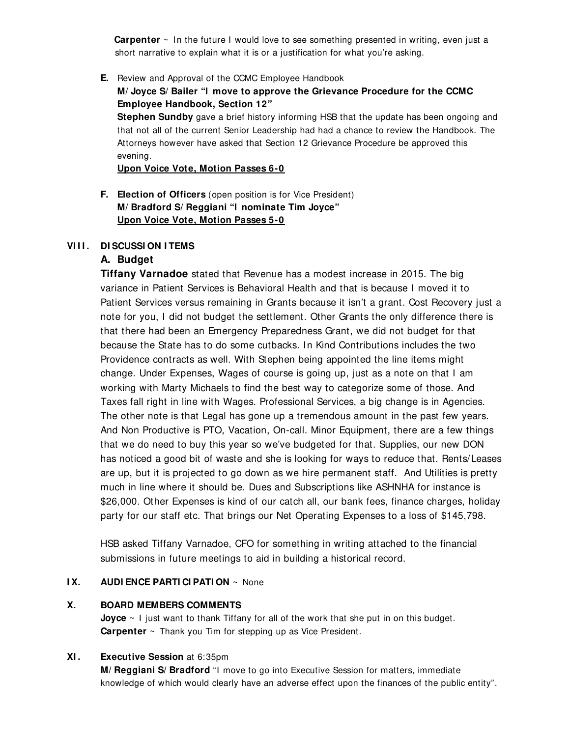**Carpenter** ~ In the future I would love to see something presented in writing, even just a short narrative to explain what it is or a justification for what you're asking.

- **E.** Review and Approval of the CCMC Employee Handbook
	- **M/ Joyce S/ Bailer "I move to approve the Grievance Procedure for the CCMC Employee Handbook, Section 12"**

**Stephen Sundby** gave a brief history informing HSB that the update has been ongoing and that not all of the current Senior Leadership had had a chance to review the Handbook. The Attorneys however have asked that Section 12 Grievance Procedure be approved this evening.

**Upon Voice Vote, Motion Passes 6-0**

**F. Election of Officers** (open position is for Vice President) **M/ Bradford S/ Reggiani "I nominate Tim Joyce" Upon Voice Vote, Motion Passes 5-0**

#### **VIII. DISCUSSION ITEMS**

## **A. Budget**

**Tiffany Varnadoe** stated that Revenue has a modest increase in 2015. The big variance in Patient Services is Behavioral Health and that is because I moved it to Patient Services versus remaining in Grants because it isn't a grant. Cost Recovery just a note for you, I did not budget the settlement. Other Grants the only difference there is that there had been an Emergency Preparedness Grant, we did not budget for that because the State has to do some cutbacks. In Kind Contributions includes the two Providence contracts as well. With Stephen being appointed the line items might change. Under Expenses, Wages of course is going up, just as a note on that I am working with Marty Michaels to find the best way to categorize some of those. And Taxes fall right in line with Wages. Professional Services, a big change is in Agencies. The other note is that Legal has gone up a tremendous amount in the past few years. And Non Productive is PTO, Vacation, On-call. Minor Equipment, there are a few things that we do need to buy this year so we've budgeted for that. Supplies, our new DON has noticed a good bit of waste and she is looking for ways to reduce that. Rents/Leases are up, but it is projected to go down as we hire permanent staff. And Utilities is pretty much in line where it should be. Dues and Subscriptions like ASHNHA for instance is \$26,000. Other Expenses is kind of our catch all, our bank fees, finance charges, holiday party for our staff etc. That brings our Net Operating Expenses to a loss of \$145,798.

HSB asked Tiffany Varnadoe, CFO for something in writing attached to the financial submissions in future meetings to aid in building a historical record.

#### **I X. AUDI ENCE PARTI CI PATI ON** ~ None

#### **X. BOARD MEMBERS COMMENTS**

**Joyce** ~ I just want to thank Tiffany for all of the work that she put in on this budget. **Carpenter** ~ Thank you Tim for stepping up as Vice President.

## **XI . Executive Session** at 6:35pm

**M/ Reggiani S/ Bradford** "I move to go into Executive Session for matters, immediate knowledge of which would clearly have an adverse effect upon the finances of the public entity".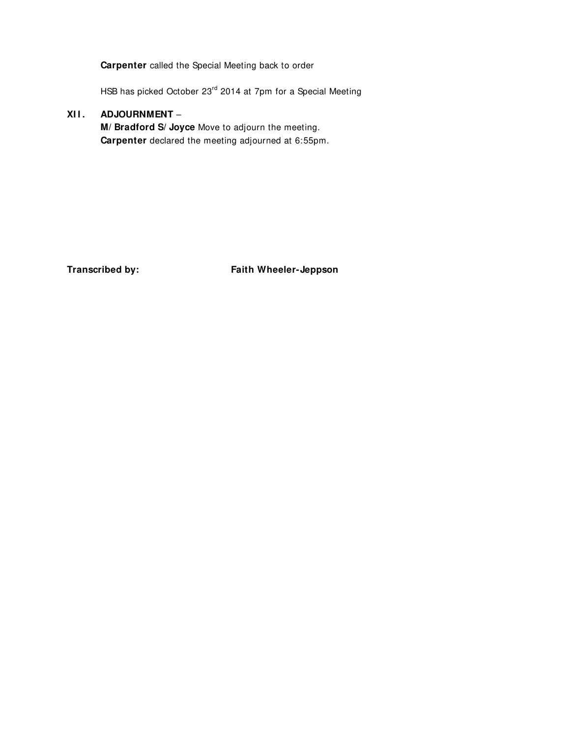**Carpenter** called the Special Meeting back to order

HSB has picked October 23<sup>rd</sup> 2014 at 7pm for a Special Meeting

## **XI I . ADJOURNMENT** –

**M/ Bradford S/ Joyce** Move to adjourn the meeting. **Carpenter** declared the meeting adjourned at 6:55pm.

**Transcribed by: Faith Wheeler-Jeppson**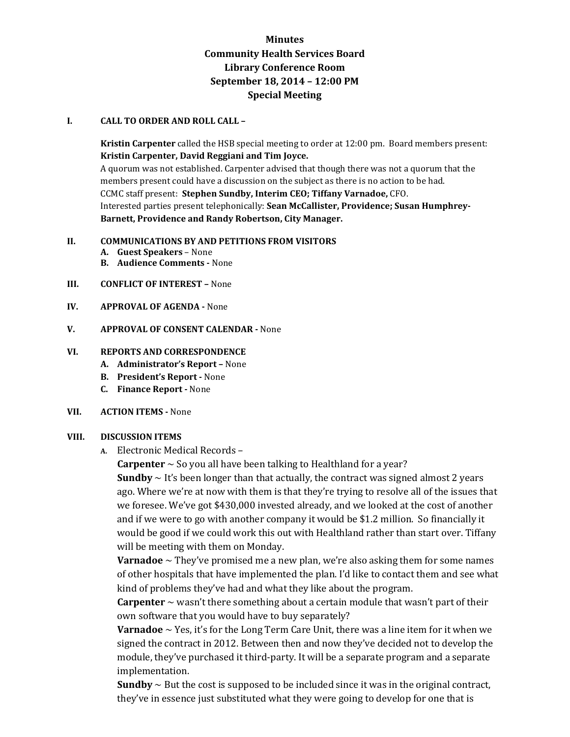## **Minutes Community Health Services Board Library Conference Room September 18, 2014 – 12:00 PM Special Meeting**

#### **I. CALL TO ORDER AND ROLL CALL –**

**Kristin Carpenter** called the HSB special meeting to order at 12:00 pm. Board members present: **Kristin Carpenter, David Reggiani and Tim Joyce.** 

A quorum was not established. Carpenter advised that though there was not a quorum that the members present could have a discussion on the subject as there is no action to be had. CCMC staff present: **Stephen Sundby, Interim CEO; Tiffany Varnadoe,** CFO. Interested parties present telephonically: **Sean McCallister, Providence; Susan Humphrey-Barnett, Providence and Randy Robertson, City Manager.**

#### **II. COMMUNICATIONS BY AND PETITIONS FROM VISITORS**

- **A. Guest Speakers**  None
- **B. Audience Comments** None
- **III. CONFLICT OF INTEREST** None
- **IV. APPROVAL OF AGENDA -** None
- **V. APPROVAL OF CONSENT CALENDAR** None

#### **VI. REPORTS AND CORRESPONDENCE**

- **A. Administrator's Report –** None
- **B. President's Report** None
- **C. Finance Report** None

#### **VII. ACTION ITEMS -** None

#### **VIII. DISCUSSION ITEMS**

**A.** Electronic Medical Records –

**Carpenter** ~ So you all have been talking to Healthland for a year?

**Sundby**  $\sim$  It's been longer than that actually, the contract was signed almost 2 years ago. Where we're at now with them is that they're trying to resolve all of the issues that we foresee. We've got \$430,000 invested already, and we looked at the cost of another and if we were to go with another company it would be \$1.2 million. So financially it would be good if we could work this out with Healthland rather than start over. Tiffany will be meeting with them on Monday.

**Varnadoe** ~ They've promised me a new plan, we're also asking them for some names of other hospitals that have implemented the plan. I'd like to contact them and see what kind of problems they've had and what they like about the program.

**Carpenter**  $\sim$  wasn't there something about a certain module that wasn't part of their own software that you would have to buy separately?

**Varnadoe**  $\sim$  Yes, it's for the Long Term Care Unit, there was a line item for it when we signed the contract in 2012. Between then and now they've decided not to develop the module, they've purchased it third-party. It will be a separate program and a separate implementation.

**Sundby**  $\sim$  But the cost is supposed to be included since it was in the original contract, they've in essence just substituted what they were going to develop for one that is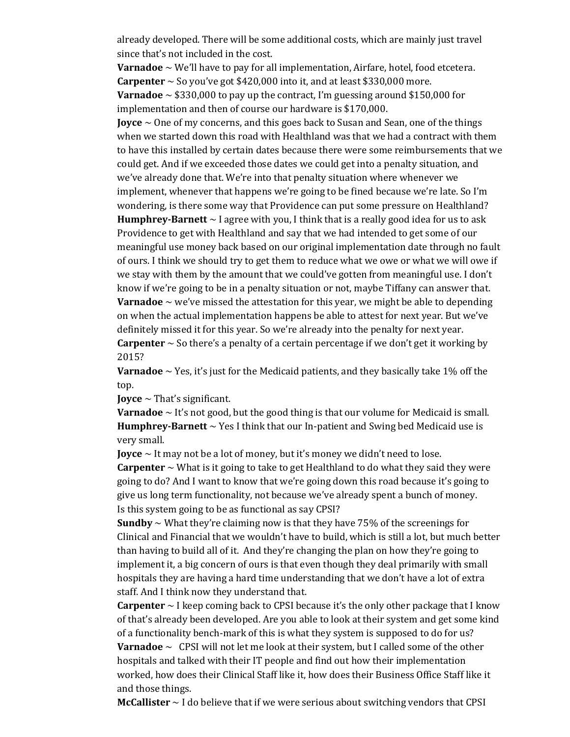already developed. There will be some additional costs, which are mainly just travel since that's not included in the cost.

**Varnadoe** ~ We'll have to pay for all implementation, Airfare, hotel, food etcetera. **Carpenter**  $\sim$  So you've got \$420,000 into it, and at least \$330,000 more. **Varnadoe**  $\sim$  \$330,000 to pay up the contract, I'm guessing around \$150,000 for implementation and then of course our hardware is \$170,000.

**Joyce** ~ One of my concerns, and this goes back to Susan and Sean, one of the things when we started down this road with Healthland was that we had a contract with them to have this installed by certain dates because there were some reimbursements that we could get. And if we exceeded those dates we could get into a penalty situation, and we've already done that. We're into that penalty situation where whenever we implement, whenever that happens we're going to be fined because we're late. So I'm wondering, is there some way that Providence can put some pressure on Healthland? **Humphrey-Barnett**  $\sim$  I agree with you, I think that is a really good idea for us to ask Providence to get with Healthland and say that we had intended to get some of our meaningful use money back based on our original implementation date through no fault of ours. I think we should try to get them to reduce what we owe or what we will owe if we stay with them by the amount that we could've gotten from meaningful use. I don't know if we're going to be in a penalty situation or not, maybe Tiffany can answer that. **Varnadoe**  $\sim$  we've missed the attestation for this year, we might be able to depending on when the actual implementation happens be able to attest for next year. But we've definitely missed it for this year. So we're already into the penalty for next year.

**Carpenter**  $\sim$  So there's a penalty of a certain percentage if we don't get it working by 2015?

**Varnadoe**  $\sim$  Yes, it's just for the Medicaid patients, and they basically take 1% off the top.

**Joyce** ~ That's significant.

**Varnadoe**  $\sim$  It's not good, but the good thing is that our volume for Medicaid is small. **Humphrey-Barnett** ~ Yes I think that our In-patient and Swing bed Medicaid use is very small.

**Joyce**  $\sim$  It may not be a lot of money, but it's money we didn't need to lose.

**Carpenter**  $\sim$  What is it going to take to get Healthland to do what they said they were going to do? And I want to know that we're going down this road because it's going to give us long term functionality, not because we've already spent a bunch of money. Is this system going to be as functional as say CPSI?

**Sundby**  $\sim$  What they're claiming now is that they have 75% of the screenings for Clinical and Financial that we wouldn't have to build, which is still a lot, but much better than having to build all of it. And they're changing the plan on how they're going to implement it, a big concern of ours is that even though they deal primarily with small hospitals they are having a hard time understanding that we don't have a lot of extra staff. And I think now they understand that.

**Carpenter**  $\sim$  I keep coming back to CPSI because it's the only other package that I know of that's already been developed. Are you able to look at their system and get some kind of a functionality bench-mark of this is what they system is supposed to do for us? **Varnadoe** ~ CPSI will not let me look at their system, but I called some of the other hospitals and talked with their IT people and find out how their implementation worked, how does their Clinical Staff like it, how does their Business Office Staff like it and those things.

**McCallister** ~ I do believe that if we were serious about switching vendors that CPSI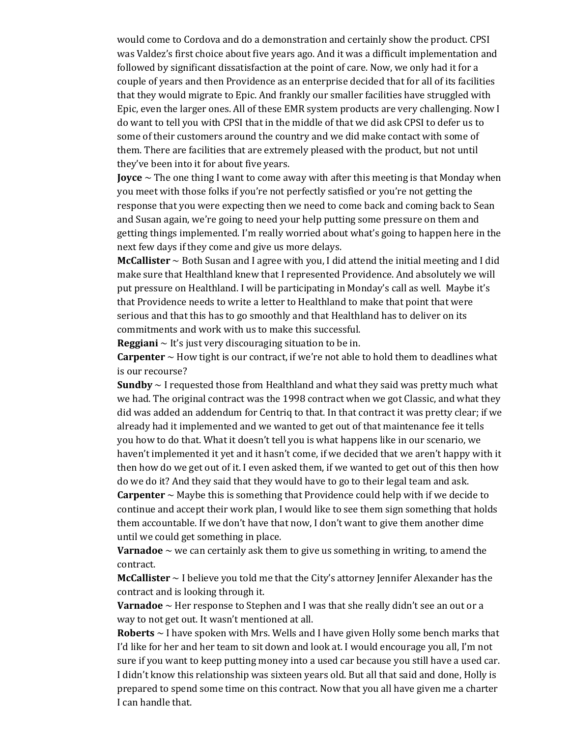would come to Cordova and do a demonstration and certainly show the product. CPSI was Valdez's first choice about five years ago. And it was a difficult implementation and followed by significant dissatisfaction at the point of care. Now, we only had it for a couple of years and then Providence as an enterprise decided that for all of its facilities that they would migrate to Epic. And frankly our smaller facilities have struggled with Epic, even the larger ones. All of these EMR system products are very challenging. Now I do want to tell you with CPSI that in the middle of that we did ask CPSI to defer us to some of their customers around the country and we did make contact with some of them. There are facilities that are extremely pleased with the product, but not until they've been into it for about five years.

**Joyce** ~ The one thing I want to come away with after this meeting is that Monday when you meet with those folks if you're not perfectly satisfied or you're not getting the response that you were expecting then we need to come back and coming back to Sean and Susan again, we're going to need your help putting some pressure on them and getting things implemented. I'm really worried about what's going to happen here in the next few days if they come and give us more delays.

**McCallister** ~ Both Susan and I agree with you, I did attend the initial meeting and I did make sure that Healthland knew that I represented Providence. And absolutely we will put pressure on Healthland. I will be participating in Monday's call as well. Maybe it's that Providence needs to write a letter to Healthland to make that point that were serious and that this has to go smoothly and that Healthland has to deliver on its commitments and work with us to make this successful.

**Reggiani**  $\sim$  It's just very discouraging situation to be in.

**Carpenter**  $\sim$  How tight is our contract, if we're not able to hold them to deadlines what is our recourse?

**Sundby** ~ I requested those from Healthland and what they said was pretty much what we had. The original contract was the 1998 contract when we got Classic, and what they did was added an addendum for Centriq to that. In that contract it was pretty clear; if we already had it implemented and we wanted to get out of that maintenance fee it tells you how to do that. What it doesn't tell you is what happens like in our scenario, we haven't implemented it yet and it hasn't come, if we decided that we aren't happy with it then how do we get out of it. I even asked them, if we wanted to get out of this then how do we do it? And they said that they would have to go to their legal team and ask.

**Carpenter**  $\sim$  Maybe this is something that Providence could help with if we decide to continue and accept their work plan, I would like to see them sign something that holds them accountable. If we don't have that now, I don't want to give them another dime until we could get something in place.

**Varnadoe**  $\sim$  we can certainly ask them to give us something in writing, to amend the contract.

**McCallister** ~ I believe you told me that the City's attorney Jennifer Alexander has the contract and is looking through it.

**Varnadoe** ~ Her response to Stephen and I was that she really didn't see an out or a way to not get out. It wasn't mentioned at all.

**Roberts** ~ I have spoken with Mrs. Wells and I have given Holly some bench marks that I'd like for her and her team to sit down and look at. I would encourage you all, I'm not sure if you want to keep putting money into a used car because you still have a used car. I didn't know this relationship was sixteen years old. But all that said and done, Holly is prepared to spend some time on this contract. Now that you all have given me a charter I can handle that.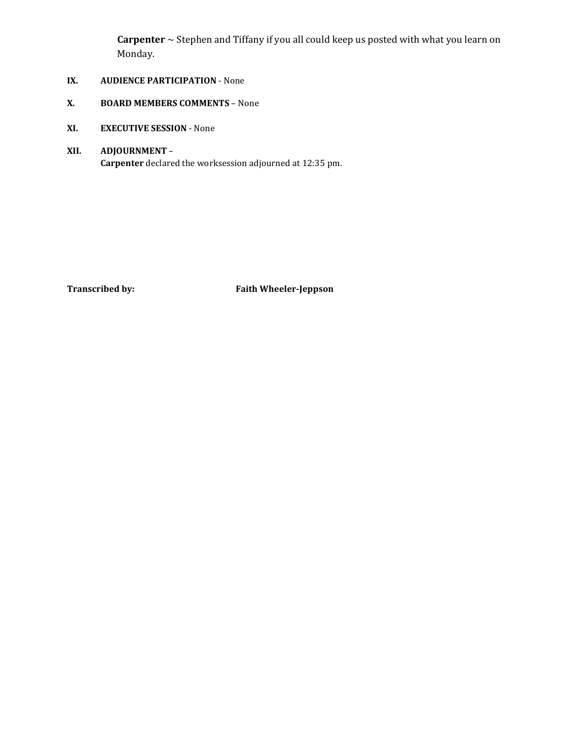**Carpenter** ~ Stephen and Tiffany if you all could keep us posted with what you learn on Monday.

- **IX. AUDIENCE PARTICIPATION** None
- **X. BOARD MEMBERS COMMENTS** None
- **XI. EXECUTIVE SESSION**  None
- **XII. ADJOURNMENT Carpenter** declared the worksession adjourned at 12:35 pm.

**Transcribed by: Faith Wheeler-Jeppson**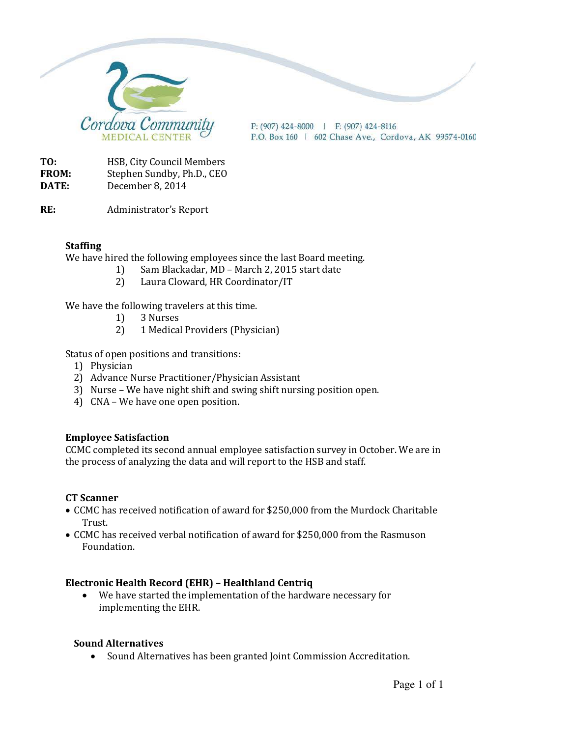

 $P: (907)$  424-8000 | F: (907) 424-8116 P.O. Box 160 | 602 Chase Ave., Cordova, AK 99574-0160

**TO:** HSB, City Council Members **FROM:** Stephen Sundby, Ph.D., CEO **DATE:** December 8, 2014

**RE:** Administrator's Report

## **Staffing**

We have hired the following employees since the last Board meeting.

- 1) Sam Blackadar, MD March 2, 2015 start date
	- 2) Laura Cloward, HR Coordinator/IT

We have the following travelers at this time.

- 1) 3 Nurses
- 2) 1 Medical Providers (Physician)

Status of open positions and transitions:

- 1) Physician
- 2) Advance Nurse Practitioner/Physician Assistant
- 3) Nurse We have night shift and swing shift nursing position open.
- 4) CNA We have one open position.

## **Employee Satisfaction**

CCMC completed its second annual employee satisfaction survey in October. We are in the process of analyzing the data and will report to the HSB and staff.

## **CT Scanner**

- CCMC has received notification of award for \$250,000 from the Murdock Charitable Trust.
- CCMC has received verbal notification of award for \$250,000 from the Rasmuson Foundation.

## **Electronic Health Record (EHR) – Healthland Centriq**

• We have started the implementation of the hardware necessary for implementing the EHR.

## **Sound Alternatives**

• Sound Alternatives has been granted Joint Commission Accreditation.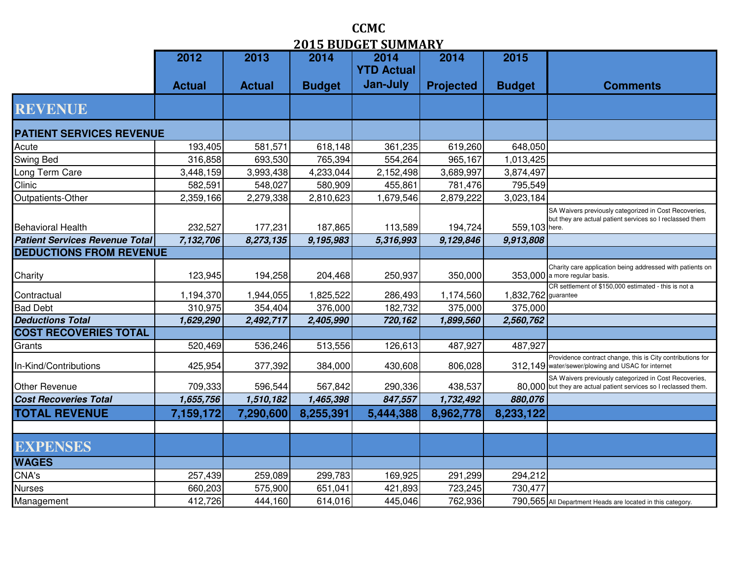|                                       |               |               |               | 2019 вороет Зомман        |                  |                     |                                                                                                                           |
|---------------------------------------|---------------|---------------|---------------|---------------------------|------------------|---------------------|---------------------------------------------------------------------------------------------------------------------------|
|                                       | 2012          | 2013          | 2014          | 2014<br><b>YTD Actual</b> | 2014             | 2015                |                                                                                                                           |
|                                       |               |               |               | Jan-July                  |                  |                     |                                                                                                                           |
|                                       | <b>Actual</b> | <b>Actual</b> | <b>Budget</b> |                           | <b>Projected</b> | <b>Budget</b>       | <b>Comments</b>                                                                                                           |
| <b>REVENUE</b>                        |               |               |               |                           |                  |                     |                                                                                                                           |
| <b>PATIENT SERVICES REVENUE</b>       |               |               |               |                           |                  |                     |                                                                                                                           |
| Acute                                 | 193,405       | 581,571       | 618,148       | 361,235                   | 619,260          | 648,050             |                                                                                                                           |
| Swing Bed                             | 316,858       | 693,530       | 765,394       | 554,264                   | 965,167          | 1,013,425           |                                                                                                                           |
| Long Term Care                        | 3,448,159     | 3,993,438     | 4,233,044     | 2,152,498                 | 3,689,997        | 3,874,497           |                                                                                                                           |
| Clinic                                | 582,591       | 548,027       | 580,909       | 455,861                   | 781,476          | 795,549             |                                                                                                                           |
| Outpatients-Other                     | 2,359,166     | 2,279,338     | 2,810,623     | 1,679,546                 | 2,879,222        | 3,023,184           |                                                                                                                           |
| <b>Behavioral Health</b>              | 232,527       | 177,231       | 187,865       | 113,589                   | 194,724          | 559,103 here.       | SA Waivers previously categorized in Cost Recoveries,<br>but they are actual patient services so I reclassed them         |
| <b>Patient Services Revenue Total</b> | 7,132,706     | 8,273,135     | 9,195,983     | 5,316,993                 | 9,129,846        | 9,913,808           |                                                                                                                           |
| <b>DEDUCTIONS FROM REVENUE</b>        |               |               |               |                           |                  |                     |                                                                                                                           |
| Charity                               | 123,945       | 194,258       | 204,468       | 250,937                   | 350,000          |                     | Charity care application being addressed with patients on<br>353,000 a more regular basis.                                |
| Contractual                           | 1,194,370     | 1,944,055     | 1,825,522     | 286,493                   | 1,174,560        | 1,832,762 guarantee | CR settlement of \$150,000 estimated - this is not a                                                                      |
| <b>Bad Debt</b>                       | 310,975       | 354,404       | 376,000       | 182,732                   | 375,000          | 375,000             |                                                                                                                           |
| <b>Deductions Total</b>               | 1,629,290     | 2,492,717     | 2,405,990     | 720,162                   | 1,899,560        | 2,560,762           |                                                                                                                           |
| <b>COST RECOVERIES TOTAL</b>          |               |               |               |                           |                  |                     |                                                                                                                           |
| Grants                                | 520,469       | 536,246       | 513,556       | 126,613                   | 487,927          | 487,927             |                                                                                                                           |
| In-Kind/Contributions                 | 425,954       | 377,392       | 384,000       | 430,608                   | 806,028          |                     | Providence contract change, this is City contributions for<br>312,149 water/sewer/plowing and USAC for internet           |
| Other Revenue                         | 709,333       | 596,544       | 567,842       | 290,336                   | 438,537          |                     | SA Waivers previously categorized in Cost Recoveries,<br>80,000 but they are actual patient services so I reclassed them. |
| <b>Cost Recoveries Total</b>          | 1,655,756     | 1,510,182     | 1,465,398     | 847,557                   | 1,732,492        | 880,076             |                                                                                                                           |
| <b>TOTAL REVENUE</b>                  | 7,159,172     | 7,290,600     | 8,255,391     | 5,444,388                 | 8,962,778        | 8,233,122           |                                                                                                                           |
|                                       |               |               |               |                           |                  |                     |                                                                                                                           |
| EXPENSES                              |               |               |               |                           |                  |                     |                                                                                                                           |
| <b>WAGES</b>                          |               |               |               |                           |                  |                     |                                                                                                                           |
| CNA's                                 | 257,439       | 259,089       | 299,783       | 169,925                   | 291,299          | 294,212             |                                                                                                                           |
| Nurses                                | 660,203       | 575,900       | 651,041       | 421,893                   | 723,245          | 730,477             |                                                                                                                           |
| Management                            | 412,726       | 444,160       | 614,016       | 445,046                   | 762,936          |                     | 790,565 All Department Heads are located in this category.                                                                |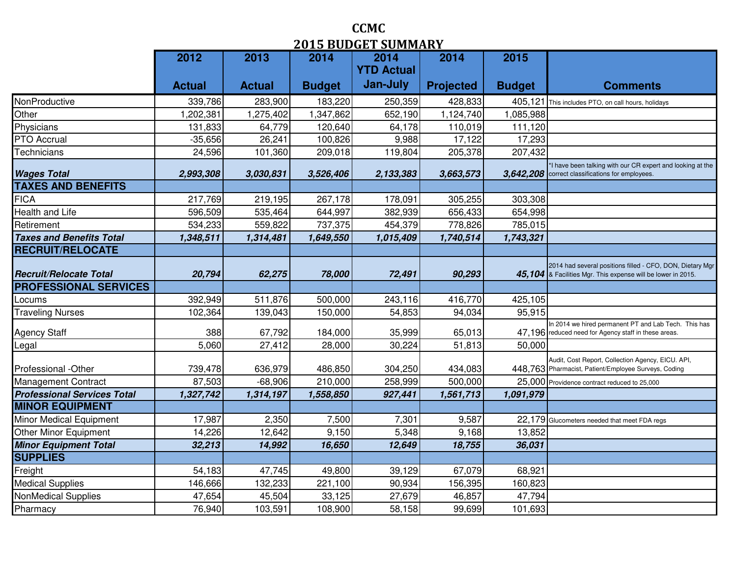|                                    | 2012          | 2013          | 2014          | .<br><b>DUPREMAR</b><br>2014 | 2014             | 2015          |                                                                                                                           |
|------------------------------------|---------------|---------------|---------------|------------------------------|------------------|---------------|---------------------------------------------------------------------------------------------------------------------------|
|                                    |               |               |               | <b>YTD Actual</b>            |                  |               |                                                                                                                           |
|                                    | <b>Actual</b> | <b>Actual</b> | <b>Budget</b> | Jan-July                     | <b>Projected</b> | <b>Budget</b> | <b>Comments</b>                                                                                                           |
| NonProductive                      | 339,786       | 283,900       | 183,220       | 250,359                      | 428,833          | 405,121       | This includes PTO, on call hours, holidays                                                                                |
| Other                              | 1,202,381     | 1,275,402     | 1,347,862     | 652,190                      | 1,124,740        | 1,085,988     |                                                                                                                           |
| Physicians                         | 131,833       | 64,779        | 120,640       | 64,178                       | 110,019          | 111,120       |                                                                                                                           |
| PTO Accrual                        | $-35,656$     | 26,241        | 100,826       | 9,988                        | 17,122           | 17,293        |                                                                                                                           |
| Technicians                        | 24,596        | 101,360       | 209,018       | 119,804                      | 205,378          | 207,432       |                                                                                                                           |
| <b>Wages Total</b>                 | 2,993,308     | 3,030,831     | 3,526,406     | 2,133,383                    | 3,663,573        | 3,642,208     | *I have been talking with our CR expert and looking at the<br>correct classifications for employees.                      |
| <b>TAXES AND BENEFITS</b>          |               |               |               |                              |                  |               |                                                                                                                           |
| <b>FICA</b>                        | 217,769       | 219,195       | 267,178       | 178,091                      | 305,255          | 303,308       |                                                                                                                           |
| Health and Life                    | 596,509       | 535,464       | 644,997       | 382,939                      | 656,433          | 654,998       |                                                                                                                           |
| Retirement                         | 534,233       | 559,822       | 737,375       | 454,379                      | 778,826          | 785,015       |                                                                                                                           |
| <b>Taxes and Benefits Total</b>    | 1,348,511     | 1,314,481     | 1,649,550     | 1,015,409                    | 1,740,514        | 1,743,321     |                                                                                                                           |
| <b>RECRUIT/RELOCATE</b>            |               |               |               |                              |                  |               |                                                                                                                           |
| <b>Recruit/Relocate Total</b>      | 20,794        | 62,275        | 78,000        | 72,491                       | 90,293           |               | 2014 had several positions filled - CFO, DON, Dietary Mgr<br>45,104 & Facilities Mgr. This expense will be lower in 2015. |
| <b>PROFESSIONAL SERVICES</b>       |               |               |               |                              |                  |               |                                                                                                                           |
| Locums                             | 392,949       | 511,876       | 500,000       | 243,116                      | 416,770          | 425,105       |                                                                                                                           |
| <b>Traveling Nurses</b>            | 102,364       | 139,043       | 150,000       | 54,853                       | 94,034           | 95,915        |                                                                                                                           |
| Agency Staff                       | 388           | 67,792        | 184,000       | 35,999                       | 65,013           |               | In 2014 we hired permanent PT and Lab Tech. This has<br>47,196 reduced need for Agency staff in these areas.              |
| Legal                              | 5,060         | 27,412        | 28,000        | 30,224                       | 51,813           | 50,000        |                                                                                                                           |
| Professional -Other                | 739,478       | 636,979       | 486,850       | 304,250                      | 434,083          |               | Audit, Cost Report, Collection Agency, EICU. API,<br>448,763 Pharmacist, Patient/Employee Surveys, Coding                 |
| Management Contract                | 87,503        | $-68,906$     | 210,000       | 258,999                      | 500,000          |               | 25,000 Providence contract reduced to 25,000                                                                              |
| <b>Professional Services Total</b> | 1,327,742     | 1,314,197     | 1,558,850     | 927,441                      | 1,561,713        | 1,091,979     |                                                                                                                           |
| <b>MINOR EQUIPMENT</b>             |               |               |               |                              |                  |               |                                                                                                                           |
| Minor Medical Equipment            | 17,987        | 2,350         | 7,500         | 7,301                        | 9,587            |               | 22,179 Glucometers needed that meet FDA regs                                                                              |
| Other Minor Equipment              | 14,226        | 12,642        | 9,150         | 5,348                        | 9,168            | 13,852        |                                                                                                                           |
| <b>Minor Equipment Total</b>       | 32,213        | 14,992        | 16,650        | 12,649                       | 18,755           | 36,031        |                                                                                                                           |
| <b>SUPPLIES</b>                    |               |               |               |                              |                  |               |                                                                                                                           |
| Freight                            | 54,183        | 47,745        | 49,800        | 39,129                       | 67,079           | 68,921        |                                                                                                                           |
| <b>Medical Supplies</b>            | 146,666       | 132,233       | 221,100       | 90,934                       | 156,395          | 160,823       |                                                                                                                           |
| NonMedical Supplies                | 47,654        | 45,504        | 33,125        | 27,679                       | 46,857           | 47,794        |                                                                                                                           |
| Pharmacy                           | 76,940        | 103,591       | 108,900       | 58,158                       | 99,699           | 101,693       |                                                                                                                           |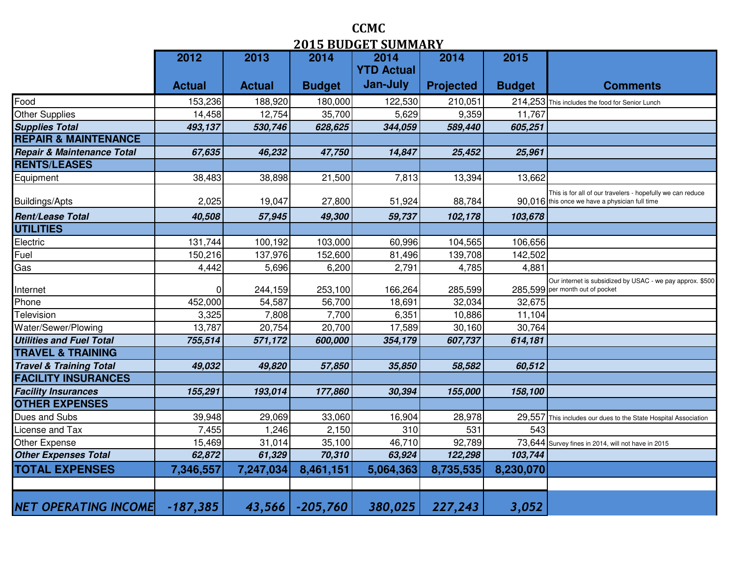|                                    | 2012          | 2013          | vij Dobuli<br>2014 | <u>DUMININI</u><br>2014 | 2014             | 2015          |                                                                                                              |
|------------------------------------|---------------|---------------|--------------------|-------------------------|------------------|---------------|--------------------------------------------------------------------------------------------------------------|
|                                    |               |               |                    | <b>YTD Actual</b>       |                  |               |                                                                                                              |
|                                    | <b>Actual</b> | <b>Actual</b> | <b>Budget</b>      | Jan-July                | <b>Projected</b> | <b>Budget</b> | <b>Comments</b>                                                                                              |
| Food                               | 153,236       | 188,920       | 180,000            | 122,530                 | 210,051          |               | 214,253 This includes the food for Senior Lunch                                                              |
| <b>Other Supplies</b>              | 14,458        | 12,754        | 35,700             | 5,629                   | 9,359            | 11,767        |                                                                                                              |
| <b>Supplies Total</b>              | 493,137       | 530,746       | 628,625            | 344,059                 | 589,440          | 605,251       |                                                                                                              |
| <b>REPAIR &amp; MAINTENANCE</b>    |               |               |                    |                         |                  |               |                                                                                                              |
| Repair & Maintenance Total         | 67,635        | 46,232        | 47,750             | 14,847                  | 25,452           | 25,961        |                                                                                                              |
| <b>RENTS/LEASES</b>                |               |               |                    |                         |                  |               |                                                                                                              |
| Equipment                          | 38,483        | 38,898        | 21,500             | 7,813                   | 13,394           | 13,662        |                                                                                                              |
| <b>Buildings/Apts</b>              | 2,025         | 19,047        | 27,800             | 51,924                  | 88,784           |               | This is for all of our travelers - hopefully we can reduce<br>90,016 this once we have a physician full time |
| <b>Rent/Lease Total</b>            | 40,508        | 57,945        | 49,300             | 59,737                  | 102,178          | 103,678       |                                                                                                              |
| <b>UTILITIES</b>                   |               |               |                    |                         |                  |               |                                                                                                              |
| Electric                           | 131,744       | 100,192       | 103,000            | 60,996                  | 104,565          | 106,656       |                                                                                                              |
| Fuel                               | 150,216       | 137,976       | 152,600            | 81,496                  | 139,708          | 142,502       |                                                                                                              |
| Gas                                | 4,442         | 5,696         | 6,200              | 2,791                   | 4,785            | 4,881         |                                                                                                              |
| Internet                           |               | 244,159       | 253,100            | 166,264                 | 285,599          |               | Our internet is subsidized by USAC - we pay approx. \$500<br>285,599 per month out of pocket                 |
| Phone                              | 452,000       | 54,587        | 56,700             | 18,691                  | 32,034           | 32,675        |                                                                                                              |
| Television                         | 3,325         | 7,808         | 7,700              | 6,351                   | 10,886           | 11,104        |                                                                                                              |
| Water/Sewer/Plowing                | 13,787        | 20,754        | 20,700             | 17,589                  | 30,160           | 30,764        |                                                                                                              |
| <b>Utilities and Fuel Total</b>    | 755,514       | 571,172       | 600,000            | 354,179                 | 607,737          | 614,181       |                                                                                                              |
| <b>TRAVEL &amp; TRAINING</b>       |               |               |                    |                         |                  |               |                                                                                                              |
| <b>Travel &amp; Training Total</b> | 49,032        | 49,820        | 57,850             | 35,850                  | 58,582           | 60,512        |                                                                                                              |
| <b>FACILITY INSURANCES</b>         |               |               |                    |                         |                  |               |                                                                                                              |
| <b>Facility Insurances</b>         | 155,291       | 193,014       | 177,860            | 30,394                  | 155,000          | 158,100       |                                                                                                              |
| <b>OTHER EXPENSES</b>              |               |               |                    |                         |                  |               |                                                                                                              |
| Dues and Subs                      | 39,948        | 29,069        | 33,060             | 16,904                  | 28,978           |               | 29,557 This includes our dues to the State Hospital Association                                              |
| icense and Tax                     | 7,455         | 1,246         | 2,150              | 310                     | 531              | 543           |                                                                                                              |
| Other Expense                      | 15,469        | 31,014        | 35,100             | 46,710                  | 92,789           |               | 73,644 Survey fines in 2014, will not have in 2015                                                           |
| <b>Other Expenses Total</b>        | 62,872        | 61,329        | 70,310             | 63,924                  | 122,298          | 103,744       |                                                                                                              |
| <b>TOTAL EXPENSES</b>              | 7,346,557     | 7,247,034     | 8,461,151          | 5,064,363               | 8,735,535        | 8,230,070     |                                                                                                              |
|                                    |               |               |                    |                         |                  |               |                                                                                                              |
| NET OPERATING INCOME -187,385      |               |               | $43,566$ -205,760  | 380,025                 | 227,243          | 3,052         |                                                                                                              |